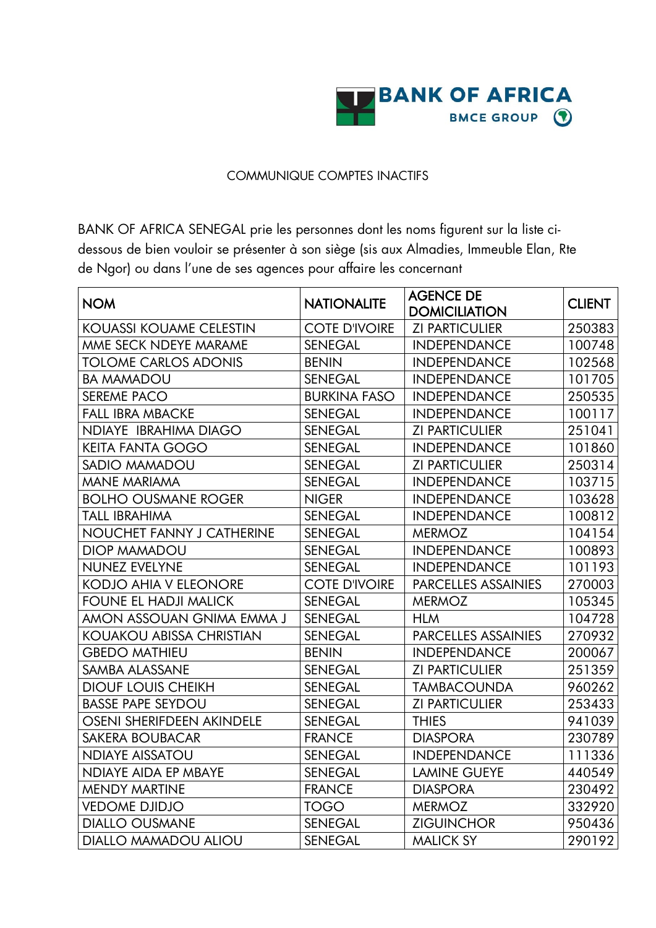

## COMMUNIQUE COMPTES INACTIFS

BANK OF AFRICA SENEGAL prie les personnes dont les noms figurent sur la liste cidessous de bien vouloir se présenter à son siège (sis aux Almadies, Immeuble Elan, Rte de Ngor) ou dans l'une de ses agences pour affaire les concernant

| <b>NOM</b>                      | <b>NATIONALITE</b>   | <b>AGENCE DE</b><br><b>DOMICILIATION</b> | <b>CLIENT</b> |
|---------------------------------|----------------------|------------------------------------------|---------------|
| <b>KOUASSI KOUAME CELESTIN</b>  | <b>COTE D'IVOIRE</b> | <b>ZI PARTICULIER</b>                    | 250383        |
| MME SECK NDEYE MARAME           | <b>SENEGAL</b>       | <b>INDEPENDANCE</b>                      | 100748        |
| <b>TOLOME CARLOS ADONIS</b>     | <b>BENIN</b>         | <b>INDEPENDANCE</b>                      | 102568        |
| <b>BA MAMADOU</b>               | <b>SENEGAL</b>       | <b>INDEPENDANCE</b>                      | 101705        |
| <b>SEREME PACO</b>              | <b>BURKINA FASO</b>  | <b>INDEPENDANCE</b>                      | 250535        |
| <b>FALL IBRA MBACKE</b>         | <b>SENEGAL</b>       | <b>INDEPENDANCE</b>                      | 100117        |
| NDIAYE IBRAHIMA DIAGO           | <b>SENEGAL</b>       | <b>ZI PARTICULIER</b>                    | 251041        |
| <b>KEITA FANTA GOGO</b>         | <b>SENEGAL</b>       | <b>INDEPENDANCE</b>                      | 101860        |
| <b>SADIO MAMADOU</b>            | <b>SENEGAL</b>       | <b>ZI PARTICULIER</b>                    | 250314        |
| <b>MANE MARIAMA</b>             | <b>SENEGAL</b>       | <b>INDEPENDANCE</b>                      | 103715        |
| <b>BOLHO OUSMANE ROGER</b>      | <b>NIGER</b>         | <b>INDEPENDANCE</b>                      | 103628        |
| <b>TALL IBRAHIMA</b>            | <b>SENEGAL</b>       | <b>INDEPENDANCE</b>                      | 100812        |
| NOUCHET FANNY J CATHERINE       | <b>SENEGAL</b>       | <b>MERMOZ</b>                            | 104154        |
| <b>DIOP MAMADOU</b>             | <b>SENEGAL</b>       | <b>INDEPENDANCE</b>                      | 100893        |
| <b>NUNEZ EVELYNE</b>            | <b>SENEGAL</b>       | <b>INDEPENDANCE</b>                      | 101193        |
| <b>KODJO AHIA V ELEONORE</b>    | <b>COTE D'IVOIRE</b> | <b>PARCELLES ASSAINIES</b>               | 270003        |
| FOUNE EL HADJI MALICK           | <b>SENEGAL</b>       | <b>MERMOZ</b>                            | 105345        |
| amon assouan Gnima Emma J       | <b>SENEGAL</b>       | <b>HLM</b>                               | 104728        |
| <b>KOUAKOU ABISSA CHRISTIAN</b> | <b>SENEGAL</b>       | <b>PARCELLES ASSAINIES</b>               | 270932        |
| <b>GBEDO MATHIEU</b>            | <b>BENIN</b>         | <b>INDEPENDANCE</b>                      | 200067        |
| SAMBA ALASSANE                  | <b>SENEGAL</b>       | <b>ZI PARTICULIER</b>                    | 251359        |
| <b>DIOUF LOUIS CHEIKH</b>       | <b>SENEGAL</b>       | <b>TAMBACOUNDA</b>                       | 960262        |
| <b>BASSE PAPE SEYDOU</b>        | <b>SENEGAL</b>       | <b>ZI PARTICULIER</b>                    | 253433        |
| OSENI SHERIFDEEN AKINDELE       | <b>SENEGAL</b>       | <b>THIES</b>                             | 941039        |
| <b>SAKERA BOUBACAR</b>          | <b>FRANCE</b>        | <b>DIASPORA</b>                          | 230789        |
| <b>NDIAYE AISSATOU</b>          | SENEGAL              | <b>INDEPENDANCE</b>                      | 111336        |
| <b>NDIAYE AIDA EP MBAYE</b>     | <b>SENEGAL</b>       | <b>LAMINE GUEYE</b>                      | 440549        |
| <b>MENDY MARTINE</b>            | <b>FRANCE</b>        | <b>DIASPORA</b>                          | 230492        |
| <b>VEDOME DJIDJO</b>            | <b>TOGO</b>          | <b>MERMOZ</b>                            | 332920        |
| <b>DIALLO OUSMANE</b>           | <b>SENEGAL</b>       | <b>ZIGUINCHOR</b>                        | 950436        |
| <b>DIALLO MAMADOU ALIOU</b>     | <b>SENEGAL</b>       | <b>MALICK SY</b>                         | 290192        |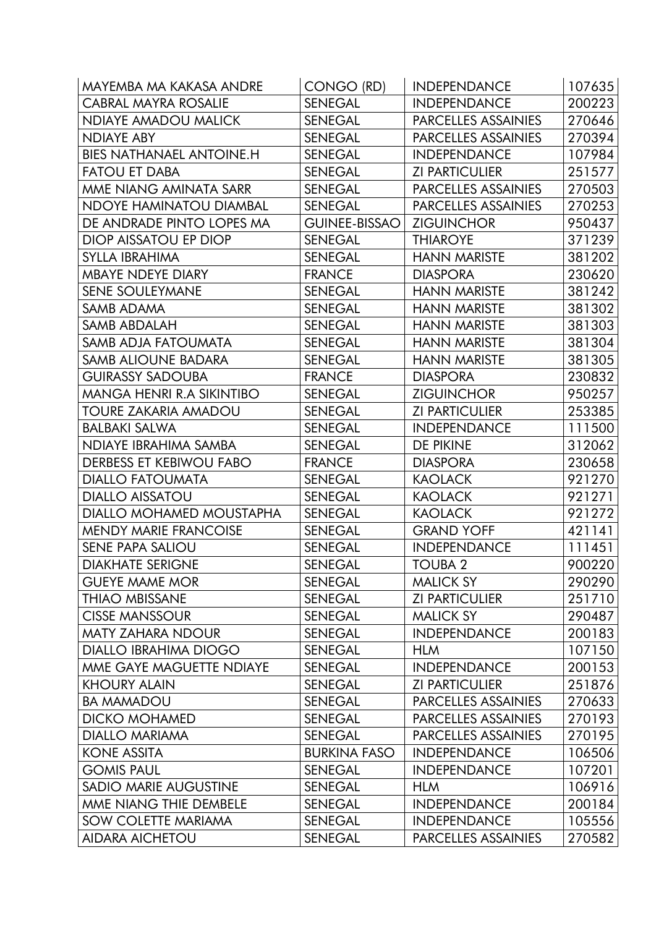| MAYEMBA MA KAKASA ANDRE          | CONGO (RD)           | <b>INDEPENDANCE</b>        | 107635 |
|----------------------------------|----------------------|----------------------------|--------|
| <b>CABRAL MAYRA ROSALIE</b>      | <b>SENEGAL</b>       | <b>INDEPENDANCE</b>        | 200223 |
| <b>NDIAYE AMADOU MALICK</b>      | <b>SENEGAL</b>       | <b>PARCELLES ASSAINIES</b> | 270646 |
| <b>NDIAYE ABY</b>                | <b>SENEGAL</b>       | <b>PARCELLES ASSAINIES</b> | 270394 |
| <b>BIES NATHANAEL ANTOINE.H</b>  | <b>SENEGAL</b>       | <b>INDEPENDANCE</b>        | 107984 |
| <b>FATOU ET DABA</b>             | <b>SENEGAL</b>       | <b>ZI PARTICULIER</b>      | 251577 |
| MME NIANG AMINATA SARR           | <b>SENEGAL</b>       | <b>PARCELLES ASSAINIES</b> | 270503 |
| <b>NDOYE HAMINATOU DIAMBAL</b>   | <b>SENEGAL</b>       | <b>PARCELLES ASSAINIES</b> | 270253 |
| DE ANDRADE PINTO LOPES MA        | <b>GUINEE-BISSAO</b> | <b>ZIGUINCHOR</b>          | 950437 |
| DIOP AISSATOU EP DIOP            | <b>SENEGAL</b>       | <b>THIAROYE</b>            | 371239 |
| SYLLA IBRAHIMA                   | <b>SENEGAL</b>       | <b>HANN MARISTE</b>        | 381202 |
| <b>MBAYE NDEYE DIARY</b>         | <b>FRANCE</b>        | <b>DIASPORA</b>            | 230620 |
| SENE SOULEYMANE                  | <b>SENEGAL</b>       | <b>HANN MARISTE</b>        | 381242 |
| SAMB ADAMA                       | <b>SENEGAL</b>       | <b>HANN MARISTE</b>        | 381302 |
| SAMB ABDALAH                     | <b>SENEGAL</b>       | <b>HANN MARISTE</b>        | 381303 |
| SAMB ADJA FATOUMATA              | <b>SENEGAL</b>       | <b>HANN MARISTE</b>        | 381304 |
| <b>SAMB ALIOUNE BADARA</b>       | <b>SENEGAL</b>       | <b>HANN MARISTE</b>        | 381305 |
| <b>GUIRASSY SADOUBA</b>          | <b>FRANCE</b>        | <b>DIASPORA</b>            | 230832 |
| <b>MANGA HENRI R.A SIKINTIBO</b> | <b>SENEGAL</b>       | <b>ZIGUINCHOR</b>          | 950257 |
| TOURE ZAKARIA AMADOU             | <b>SENEGAL</b>       | <b>ZI PARTICULIER</b>      | 253385 |
| <b>BALBAKI SALWA</b>             | <b>SENEGAL</b>       | <b>INDEPENDANCE</b>        | 111500 |
| NDIAYE IBRAHIMA SAMBA            | <b>SENEGAL</b>       | DE PIKINE                  | 312062 |
| DERBESS ET KEBIWOU FABO          | <b>FRANCE</b>        | <b>DIASPORA</b>            | 230658 |
| <b>DIALLO FATOUMATA</b>          | <b>SENEGAL</b>       | <b>KAOLACK</b>             | 921270 |
| <b>DIALLO AISSATOU</b>           | <b>SENEGAL</b>       | <b>KAOLACK</b>             | 921271 |
| DIALLO MOHAMED MOUSTAPHA         | <b>SENEGAL</b>       | <b>KAOLACK</b>             | 921272 |
| <b>MENDY MARIE FRANCOISE</b>     | <b>SENEGAL</b>       | <b>GRAND YOFF</b>          | 421141 |
| <b>SENE PAPA SALIOU</b>          | <b>SENEGAL</b>       | <b>INDEPENDANCE</b>        | 111451 |
| <b>DIAKHATE SERIGNE</b>          | <b>SENEGAL</b>       | <b>TOUBA 2</b>             | 900220 |
| <b>GUEYE MAME MOR</b>            | <b>SENEGAL</b>       | <b>MALICK SY</b>           | 290290 |
| <b>THIAO MBISSANE</b>            | <b>SENEGAL</b>       | <b>ZI PARTICULIER</b>      | 251710 |
| <b>CISSE MANSSOUR</b>            | <b>SENEGAL</b>       | <b>MALICK SY</b>           | 290487 |
| <b>MATY ZAHARA NDOUR</b>         | <b>SENEGAL</b>       | <b>INDEPENDANCE</b>        | 200183 |
| <b>DIALLO IBRAHIMA DIOGO</b>     | <b>SENEGAL</b>       | <b>HLM</b>                 | 107150 |
| MME GAYE MAGUETTE NDIAYE         | <b>SENEGAL</b>       | <b>INDEPENDANCE</b>        | 200153 |
| <b>KHOURY ALAIN</b>              | <b>SENEGAL</b>       | <b>ZI PARTICULIER</b>      | 251876 |
| <b>BA MAMADOU</b>                | <b>SENEGAL</b>       | PARCELLES ASSAINIES        | 270633 |
| <b>DICKO MOHAMED</b>             | <b>SENEGAL</b>       | PARCELLES ASSAINIES        | 270193 |
| <b>DIALLO MARIAMA</b>            | <b>SENEGAL</b>       | <b>PARCELLES ASSAINIES</b> | 270195 |
| <b>KONE ASSITA</b>               | <b>BURKINA FASO</b>  | <b>INDEPENDANCE</b>        | 106506 |
| <b>GOMIS PAUL</b>                | <b>SENEGAL</b>       | <b>INDEPENDANCE</b>        | 107201 |
| <b>SADIO MARIE AUGUSTINE</b>     | <b>SENEGAL</b>       | <b>HLM</b>                 | 106916 |
| MME NIANG THIE DEMBELE           | <b>SENEGAL</b>       | <b>INDEPENDANCE</b>        | 200184 |
| <b>SOW COLETTE MARIAMA</b>       | <b>SENEGAL</b>       | <b>INDEPENDANCE</b>        | 105556 |
| <b>AIDARA AICHETOU</b>           | <b>SENEGAL</b>       | <b>PARCELLES ASSAINIES</b> | 270582 |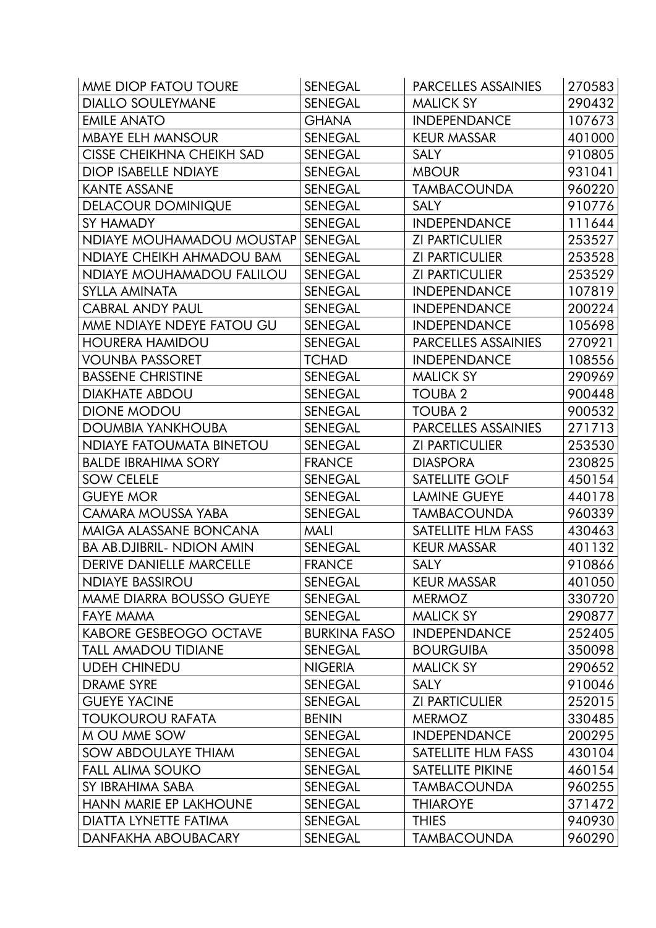| MME DIOP FATOU TOURE             | <b>SENEGAL</b>      | PARCELLES ASSAINIES        | 270583 |
|----------------------------------|---------------------|----------------------------|--------|
| <b>DIALLO SOULEYMANE</b>         | <b>SENEGAL</b>      | <b>MALICK SY</b>           | 290432 |
| <b>EMILE ANATO</b>               | <b>GHANA</b>        | <b>INDEPENDANCE</b>        | 107673 |
| <b>MBAYE ELH MANSOUR</b>         | <b>SENEGAL</b>      | <b>KEUR MASSAR</b>         | 401000 |
| <b>CISSE CHEIKHNA CHEIKH SAD</b> | <b>SENEGAL</b>      | <b>SALY</b>                | 910805 |
| <b>DIOP ISABELLE NDIAYE</b>      | <b>SENEGAL</b>      | <b>MBOUR</b>               | 931041 |
| <b>KANTE ASSANE</b>              | <b>SENEGAL</b>      | <b>TAMBACOUNDA</b>         | 960220 |
| <b>DELACOUR DOMINIQUE</b>        | <b>SENEGAL</b>      | <b>SALY</b>                | 910776 |
| SY HAMADY                        | <b>SENEGAL</b>      | <b>INDEPENDANCE</b>        | 111644 |
| NDIAYE MOUHAMADOU MOUSTAP        | <b>SENEGAL</b>      | <b>ZI PARTICULIER</b>      | 253527 |
| NDIAYE CHEIKH AHMADOU BAM        | <b>SENEGAL</b>      | <b>ZI PARTICULIER</b>      | 253528 |
| NDIAYE MOUHAMADOU FALILOU        | <b>SENEGAL</b>      | <b>ZI PARTICULIER</b>      | 253529 |
| <b>SYLLA AMINATA</b>             | <b>SENEGAL</b>      | <b>INDEPENDANCE</b>        | 107819 |
| <b>CABRAL ANDY PAUL</b>          | <b>SENEGAL</b>      | <b>INDEPENDANCE</b>        | 200224 |
| MME NDIAYE NDEYE FATOU GU        | <b>SENEGAL</b>      | <b>INDEPENDANCE</b>        | 105698 |
| <b>HOURERA HAMIDOU</b>           | <b>SENEGAL</b>      | PARCELLES ASSAINIES        | 270921 |
| <b>VOUNBA PASSORET</b>           | <b>TCHAD</b>        | <b>INDEPENDANCE</b>        | 108556 |
| <b>BASSENE CHRISTINE</b>         | <b>SENEGAL</b>      | <b>MALICK SY</b>           | 290969 |
| <b>DIAKHATE ABDOU</b>            | <b>SENEGAL</b>      | <b>TOUBA 2</b>             | 900448 |
| <b>DIONE MODOU</b>               | <b>SENEGAL</b>      | <b>TOUBA 2</b>             | 900532 |
| <b>DOUMBIA YANKHOUBA</b>         | <b>SENEGAL</b>      | <b>PARCELLES ASSAINIES</b> | 271713 |
| <b>NDIAYE FATOUMATA BINETOU</b>  | <b>SENEGAL</b>      | <b>ZI PARTICULIER</b>      | 253530 |
| <b>BALDE IBRAHIMA SORY</b>       | <b>FRANCE</b>       | <b>DIASPORA</b>            | 230825 |
| <b>SOW CELELE</b>                | <b>SENEGAL</b>      | SATELLITE GOLF             | 450154 |
| <b>GUEYE MOR</b>                 | <b>SENEGAL</b>      | <b>LAMINE GUEYE</b>        | 440178 |
| CAMARA MOUSSA YABA               | <b>SENEGAL</b>      | <b>TAMBACOUNDA</b>         | 960339 |
| MAIGA ALASSANE BONCANA           | <b>MALI</b>         | SATELLITE HLM FASS         | 430463 |
| <b>BA AB.DJIBRIL- NDION AMIN</b> | <b>SENEGAL</b>      | <b>KEUR MASSAR</b>         | 401132 |
| <b>DERIVE DANIELLE MARCELLE</b>  | <b>FRANCE</b>       | <b>SALY</b>                | 910866 |
| <b>NDIAYE BASSIROU</b>           | <b>SENEGAL</b>      | <b>KEUR MASSAR</b>         | 401050 |
| MAME DIARRA BOUSSO GUEYE         | <b>SENEGAL</b>      | <b>MERMOZ</b>              | 330720 |
| <b>FAYE MAMA</b>                 | <b>SENEGAL</b>      | <b>MALICK SY</b>           | 290877 |
| <b>KABORE GESBEOGO OCTAVE</b>    | <b>BURKINA FASO</b> | <b>INDEPENDANCE</b>        | 252405 |
| <b>TALL AMADOU TIDIANE</b>       | <b>SENEGAL</b>      | <b>BOURGUIBA</b>           | 350098 |
| <b>UDEH CHINEDU</b>              | <b>NIGERIA</b>      | <b>MALICK SY</b>           | 290652 |
| <b>DRAME SYRE</b>                | <b>SENEGAL</b>      | <b>SALY</b>                | 910046 |
| <b>GUEYE YACINE</b>              | <b>SENEGAL</b>      | <b>ZI PARTICULIER</b>      | 252015 |
| <b>TOUKOUROU RAFATA</b>          | <b>BENIN</b>        | <b>MERMOZ</b>              | 330485 |
| M OU MME SOW                     | <b>SENEGAL</b>      | <b>INDEPENDANCE</b>        | 200295 |
| <b>SOW ABDOULAYE THIAM</b>       | <b>SENEGAL</b>      | SATELLITE HLM FASS         | 430104 |
| <b>FALL ALIMA SOUKO</b>          | <b>SENEGAL</b>      | SATELLITE PIKINE           | 460154 |
| SY IBRAHIMA SABA                 | <b>SENEGAL</b>      | <b>TAMBACOUNDA</b>         | 960255 |
| <b>HANN MARIE EP LAKHOUNE</b>    | <b>SENEGAL</b>      | <b>THIAROYE</b>            | 371472 |
| DIATTA LYNETTE FATIMA            | <b>SENEGAL</b>      | <b>THIES</b>               | 940930 |
| DANFAKHA ABOUBACARY              | SENEGAL             | <b>TAMBACOUNDA</b>         | 960290 |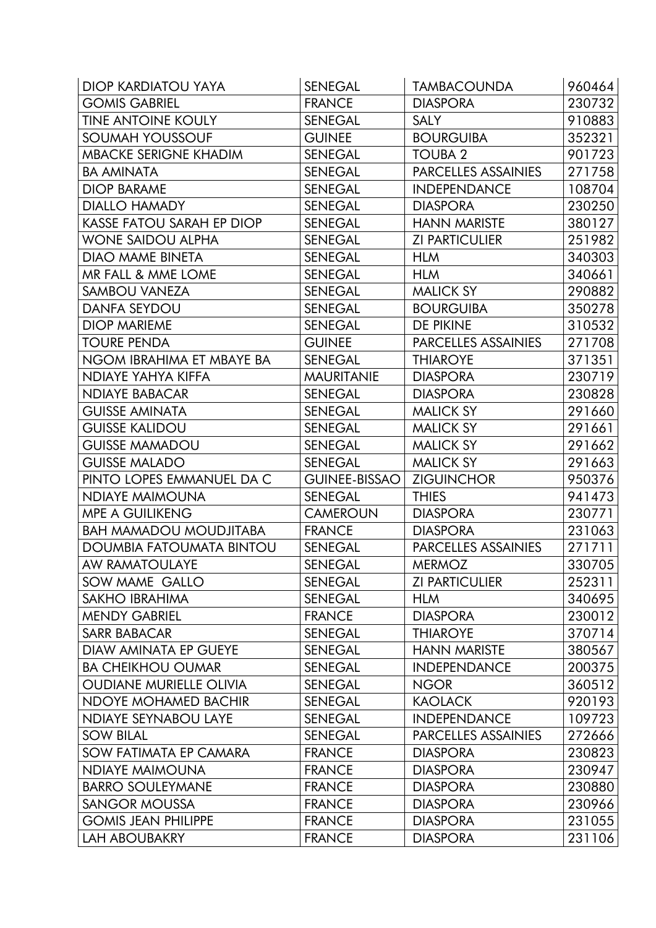| <b>DIOP KARDIATOU YAYA</b>       | <b>SENEGAL</b>       | <b>TAMBACOUNDA</b>         | 960464 |
|----------------------------------|----------------------|----------------------------|--------|
| <b>GOMIS GABRIEL</b>             | <b>FRANCE</b>        | <b>DIASPORA</b>            | 230732 |
| <b>TINE ANTOINE KOULY</b>        | <b>SENEGAL</b>       | <b>SALY</b>                | 910883 |
| SOUMAH YOUSSOUF                  | <b>GUINEE</b>        | <b>BOURGUIBA</b>           | 352321 |
| <b>MBACKE SERIGNE KHADIM</b>     | <b>SENEGAL</b>       | <b>TOUBA 2</b>             | 901723 |
| <b>BA AMINATA</b>                | <b>SENEGAL</b>       | <b>PARCELLES ASSAINIES</b> | 271758 |
| <b>DIOP BARAME</b>               | <b>SENEGAL</b>       | <b>INDEPENDANCE</b>        | 108704 |
| <b>DIALLO HAMADY</b>             | <b>SENEGAL</b>       | <b>DIASPORA</b>            | 230250 |
| <b>KASSE FATOU SARAH EP DIOP</b> | <b>SENEGAL</b>       | <b>HANN MARISTE</b>        | 380127 |
| <b>WONE SAIDOU ALPHA</b>         | <b>SENEGAL</b>       | <b>ZI PARTICULIER</b>      | 251982 |
| <b>DIAO MAME BINETA</b>          | <b>SENEGAL</b>       | <b>HLM</b>                 | 340303 |
| MR FALL & MME LOME               | <b>SENEGAL</b>       | <b>HLM</b>                 | 340661 |
| <b>SAMBOU VANEZA</b>             | <b>SENEGAL</b>       | <b>MALICK SY</b>           | 290882 |
| <b>DANFA SEYDOU</b>              | <b>SENEGAL</b>       | <b>BOURGUIBA</b>           | 350278 |
| <b>DIOP MARIEME</b>              | <b>SENEGAL</b>       | DE PIKINE                  | 310532 |
| <b>TOURE PENDA</b>               | <b>GUINEE</b>        | PARCELLES ASSAINIES        | 271708 |
| NGOM IBRAHIMA ET MBAYE BA        | <b>SENEGAL</b>       | <b>THIAROYE</b>            | 371351 |
| NDIAYE YAHYA KIFFA               | <b>MAURITANIE</b>    | <b>DIASPORA</b>            | 230719 |
| <b>NDIAYE BABACAR</b>            | <b>SENEGAL</b>       | <b>DIASPORA</b>            | 230828 |
| <b>GUISSE AMINATA</b>            | <b>SENEGAL</b>       | <b>MALICK SY</b>           | 291660 |
| <b>GUISSE KALIDOU</b>            | <b>SENEGAL</b>       | <b>MALICK SY</b>           | 291661 |
| <b>GUISSE MAMADOU</b>            | <b>SENEGAL</b>       | <b>MALICK SY</b>           | 291662 |
| <b>GUISSE MALADO</b>             | <b>SENEGAL</b>       | <b>MALICK SY</b>           | 291663 |
| PINTO LOPES EMMANUEL DA C        | <b>GUINEE-BISSAO</b> | <b>ZIGUINCHOR</b>          | 950376 |
| <b>NDIAYE MAIMOUNA</b>           | <b>SENEGAL</b>       | <b>THIES</b>               | 941473 |
| <b>MPE A GUILIKENG</b>           | <b>CAMEROUN</b>      | <b>DIASPORA</b>            | 230771 |
| <b>BAH MAMADOU MOUDJITABA</b>    | <b>FRANCE</b>        | <b>DIASPORA</b>            | 231063 |
| <b>DOUMBIA FATOUMATA BINTOU</b>  | <b>SENEGAL</b>       | <b>PARCELLES ASSAINIES</b> | 271711 |
| <b>AW RAMATOULAYE</b>            | <b>SENEGAL</b>       | <b>MERMOZ</b>              | 330705 |
| SOW MAME GALLO                   | <b>SENEGAL</b>       | <b>ZI PARTICULIER</b>      | 252311 |
| <b>SAKHO IBRAHIMA</b>            | <b>SENEGAL</b>       | <b>HLM</b>                 | 340695 |
| <b>MENDY GABRIEL</b>             | <b>FRANCE</b>        | <b>DIASPORA</b>            | 230012 |
| SARR BABACAR                     | <b>SENEGAL</b>       | <b>THIAROYE</b>            | 370714 |
| DIAW AMINATA EP GUEYE            | <b>SENEGAL</b>       | <b>HANN MARISTE</b>        | 380567 |
| <b>BA CHEIKHOU OUMAR</b>         | <b>SENEGAL</b>       | <b>INDEPENDANCE</b>        | 200375 |
| <b>OUDIANE MURIELLE OLIVIA</b>   | <b>SENEGAL</b>       | <b>NGOR</b>                | 360512 |
| NDOYE MOHAMED BACHIR             | <b>SENEGAL</b>       | <b>KAOLACK</b>             | 920193 |
| NDIAYE SEYNABOU LAYE             | <b>SENEGAL</b>       | <b>INDEPENDANCE</b>        | 109723 |
| <b>SOW BILAL</b>                 | <b>SENEGAL</b>       | <b>PARCELLES ASSAINIES</b> | 272666 |
| SOW FATIMATA EP CAMARA           | <b>FRANCE</b>        | <b>DIASPORA</b>            | 230823 |
| NDIAYE MAIMOUNA                  | <b>FRANCE</b>        | <b>DIASPORA</b>            | 230947 |
| <b>BARRO SOULEYMANE</b>          | <b>FRANCE</b>        | <b>DIASPORA</b>            | 230880 |
| <b>SANGOR MOUSSA</b>             | <b>FRANCE</b>        | <b>DIASPORA</b>            | 230966 |
| <b>GOMIS JEAN PHILIPPE</b>       | <b>FRANCE</b>        | <b>DIASPORA</b>            | 231055 |
| LAH ABOUBAKRY                    | <b>FRANCE</b>        | <b>DIASPORA</b>            | 231106 |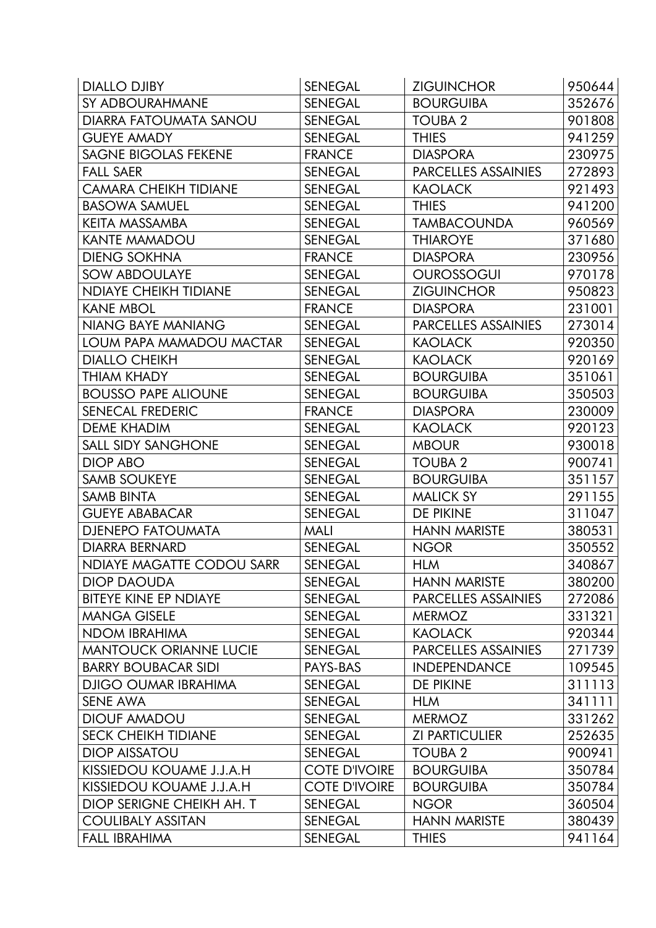| <b>DIALLO DJIBY</b>              | <b>SENEGAL</b>       | <b>ZIGUINCHOR</b>     | 950644 |
|----------------------------------|----------------------|-----------------------|--------|
| SY ADBOURAHMANE                  | <b>SENEGAL</b>       | <b>BOURGUIBA</b>      | 352676 |
| DIARRA FATOUMATA SANOU           | <b>SENEGAL</b>       | <b>TOUBA 2</b>        | 901808 |
| <b>GUEYE AMADY</b>               | <b>SENEGAL</b>       | <b>THIES</b>          | 941259 |
| <b>SAGNE BIGOLAS FEKENE</b>      | <b>FRANCE</b>        | <b>DIASPORA</b>       | 230975 |
| <b>FALL SAER</b>                 | <b>SENEGAL</b>       | PARCELLES ASSAINIES   | 272893 |
| <b>CAMARA CHEIKH TIDIANE</b>     | <b>SENEGAL</b>       | <b>KAOLACK</b>        | 921493 |
| <b>BASOWA SAMUEL</b>             | <b>SENEGAL</b>       | <b>THIES</b>          | 941200 |
| <b>KEITA MASSAMBA</b>            | <b>SENEGAL</b>       | <b>TAMBACOUNDA</b>    | 960569 |
| <b>KANTE MAMADOU</b>             | <b>SENEGAL</b>       | <b>THIAROYE</b>       | 371680 |
| <b>DIENG SOKHNA</b>              | <b>FRANCE</b>        | <b>DIASPORA</b>       | 230956 |
| <b>SOW ABDOULAYE</b>             | <b>SENEGAL</b>       | <b>OUROSSOGUI</b>     | 970178 |
| <b>NDIAYE CHEIKH TIDIANE</b>     | <b>SENEGAL</b>       | <b>ZIGUINCHOR</b>     | 950823 |
| <b>KANE MBOL</b>                 | <b>FRANCE</b>        | <b>DIASPORA</b>       | 231001 |
| <b>NIANG BAYE MANIANG</b>        | <b>SENEGAL</b>       | PARCELLES ASSAINIES   | 273014 |
| LOUM PAPA MAMADOU MACTAR         | <b>SENEGAL</b>       | <b>KAOLACK</b>        | 920350 |
| <b>DIALLO CHEIKH</b>             | <b>SENEGAL</b>       | <b>KAOLACK</b>        | 920169 |
| THIAM KHADY                      | <b>SENEGAL</b>       | <b>BOURGUIBA</b>      | 351061 |
| <b>BOUSSO PAPE ALIOUNE</b>       | <b>SENEGAL</b>       | <b>BOURGUIBA</b>      | 350503 |
| SENECAL FREDERIC                 | <b>FRANCE</b>        | <b>DIASPORA</b>       | 230009 |
| DEME KHADIM                      | <b>SENEGAL</b>       | <b>KAOLACK</b>        | 920123 |
| <b>SALL SIDY SANGHONE</b>        | <b>SENEGAL</b>       | <b>MBOUR</b>          | 930018 |
| DIOP ABO                         | <b>SENEGAL</b>       | <b>TOUBA 2</b>        | 900741 |
| <b>SAMB SOUKEYE</b>              | <b>SENEGAL</b>       | <b>BOURGUIBA</b>      | 351157 |
| <b>SAMB BINTA</b>                | <b>SENEGAL</b>       | <b>MALICK SY</b>      | 291155 |
| <b>GUEYE ABABACAR</b>            | <b>SENEGAL</b>       | <b>DE PIKINE</b>      | 311047 |
| <b>DJENEPO FATOUMATA</b>         | <b>MALI</b>          | <b>HANN MARISTE</b>   | 380531 |
| <b>DIARRA BERNARD</b>            | <b>SENEGAL</b>       | <b>NGOR</b>           | 350552 |
| <b>NDIAYE MAGATTE CODOU SARR</b> | <b>SENEGAL</b>       | <b>HLM</b>            | 340867 |
| <b>DIOP DAOUDA</b>               | <b>SENEGAL</b>       | <b>HANN MARISTE</b>   | 380200 |
| <b>BITEYE KINE EP NDIAYE</b>     | <b>SENEGAL</b>       | PARCELLES ASSAINIES   | 272086 |
| <b>MANGA GISELE</b>              | <b>SENEGAL</b>       | <b>MERMOZ</b>         | 331321 |
| <b>NDOM IBRAHIMA</b>             | <b>SENEGAL</b>       | <b>KAOLACK</b>        | 920344 |
| <b>MANTOUCK ORIANNE LUCIE</b>    | <b>SENEGAL</b>       | PARCELLES ASSAINIES   | 271739 |
| <b>BARRY BOUBACAR SIDI</b>       | PAYS-BAS             | <b>INDEPENDANCE</b>   | 109545 |
| <b>DJIGO OUMAR IBRAHIMA</b>      | <b>SENEGAL</b>       | DE PIKINE             | 311113 |
| <b>SENE AWA</b>                  | <b>SENEGAL</b>       | <b>HLM</b>            | 341111 |
| <b>DIOUF AMADOU</b>              | <b>SENEGAL</b>       | <b>MERMOZ</b>         | 331262 |
| <b>SECK CHEIKH TIDIANE</b>       | <b>SENEGAL</b>       | <b>ZI PARTICULIER</b> | 252635 |
| <b>DIOP AISSATOU</b>             | SENEGAL              | <b>TOUBA 2</b>        | 900941 |
| KISSIEDOU KOUAME J.J.A.H         | <b>COTE D'IVOIRE</b> | <b>BOURGUIBA</b>      | 350784 |
| KISSIEDOU KOUAME J.J.A.H         | <b>COTE D'IVOIRE</b> | <b>BOURGUIBA</b>      | 350784 |
| DIOP SERIGNE CHEIKH AH. T        | <b>SENEGAL</b>       | <b>NGOR</b>           | 360504 |
| <b>COULIBALY ASSITAN</b>         | <b>SENEGAL</b>       | <b>HANN MARISTE</b>   | 380439 |
| <b>FALL IBRAHIMA</b>             | <b>SENEGAL</b>       | <b>THIES</b>          | 941164 |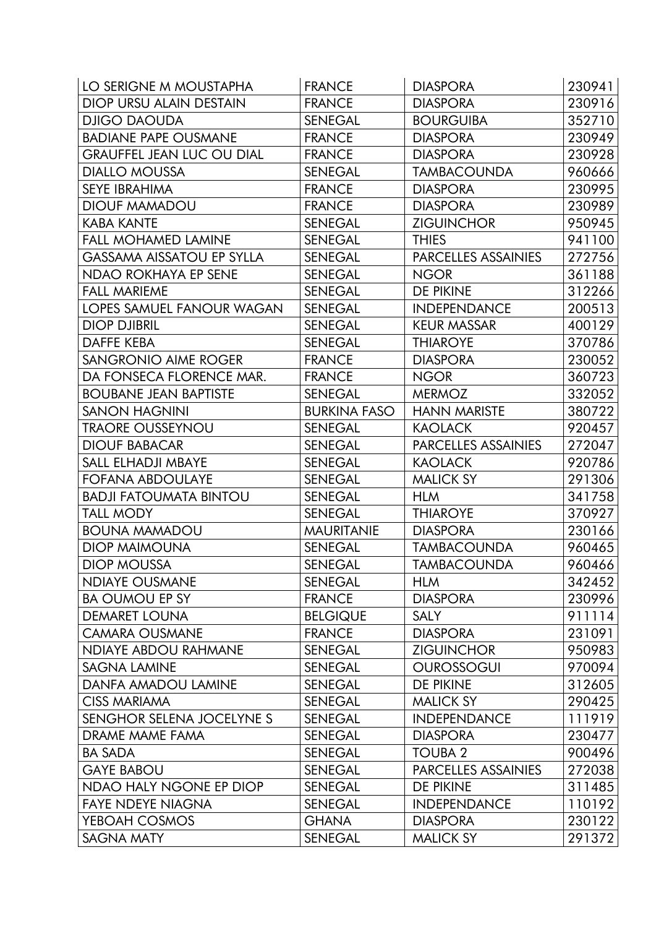| LO SERIGNE M MOUSTAPHA           | <b>FRANCE</b>       | <b>DIASPORA</b>            | 230941 |
|----------------------------------|---------------------|----------------------------|--------|
| DIOP URSU ALAIN DESTAIN          | <b>FRANCE</b>       | <b>DIASPORA</b>            | 230916 |
| <b>DJIGO DAOUDA</b>              | <b>SENEGAL</b>      | <b>BOURGUIBA</b>           | 352710 |
| <b>BADIANE PAPE OUSMANE</b>      | <b>FRANCE</b>       | <b>DIASPORA</b>            | 230949 |
| <b>GRAUFFEL JEAN LUC OU DIAL</b> | <b>FRANCE</b>       | <b>DIASPORA</b>            | 230928 |
| <b>DIALLO MOUSSA</b>             | <b>SENEGAL</b>      | <b>TAMBACOUNDA</b>         | 960666 |
| <b>SEYE IBRAHIMA</b>             | <b>FRANCE</b>       | <b>DIASPORA</b>            | 230995 |
| <b>DIOUF MAMADOU</b>             | <b>FRANCE</b>       | <b>DIASPORA</b>            | 230989 |
| KABA KANTE                       | <b>SENEGAL</b>      | <b>ZIGUINCHOR</b>          | 950945 |
| <b>FALL MOHAMED LAMINE</b>       | <b>SENEGAL</b>      | <b>THIES</b>               | 941100 |
| <b>GASSAMA AISSATOU EP SYLLA</b> | <b>SENEGAL</b>      | PARCELLES ASSAINIES        | 272756 |
| NDAO ROKHAYA EP SENE             | <b>SENEGAL</b>      | <b>NGOR</b>                | 361188 |
| <b>FALL MARIEME</b>              | <b>SENEGAL</b>      | DE PIKINE                  | 312266 |
| <b>LOPES SAMUEL FANOUR WAGAN</b> | <b>SENEGAL</b>      | <b>INDEPENDANCE</b>        | 200513 |
| <b>DIOP DJIBRIL</b>              | <b>SENEGAL</b>      | <b>KEUR MASSAR</b>         | 400129 |
| DAFFE KEBA                       | <b>SENEGAL</b>      | <b>THIAROYE</b>            | 370786 |
| <b>SANGRONIO AIME ROGER</b>      | <b>FRANCE</b>       | <b>DIASPORA</b>            | 230052 |
| DA FONSECA FLORENCE MAR.         | <b>FRANCE</b>       | <b>NGOR</b>                | 360723 |
| <b>BOUBANE JEAN BAPTISTE</b>     | <b>SENEGAL</b>      | <b>MERMOZ</b>              | 332052 |
| <b>SANON HAGNINI</b>             | <b>BURKINA FASO</b> | <b>HANN MARISTE</b>        | 380722 |
| <b>TRAORE OUSSEYNOU</b>          | <b>SENEGAL</b>      | <b>KAOLACK</b>             | 920457 |
| <b>DIOUF BABACAR</b>             | <b>SENEGAL</b>      | <b>PARCELLES ASSAINIES</b> | 272047 |
| SALL ELHADJI MBAYE               | <b>SENEGAL</b>      | <b>KAOLACK</b>             | 920786 |
| <b>FOFANA ABDOULAYE</b>          | <b>SENEGAL</b>      | <b>MALICK SY</b>           | 291306 |
| <b>BADJI FATOUMATA BINTOU</b>    | <b>SENEGAL</b>      | <b>HLM</b>                 | 341758 |
| TALL MODY                        | <b>SENEGAL</b>      | <b>THIAROYE</b>            | 370927 |
| <b>BOUNA MAMADOU</b>             | <b>MAURITANIE</b>   | <b>DIASPORA</b>            | 230166 |
| <b>DIOP MAIMOUNA</b>             | <b>SENEGAL</b>      | <b>TAMBACOUNDA</b>         | 960465 |
| <b>DIOP MOUSSA</b>               | <b>SENEGAL</b>      | <b>TAMBACOUNDA</b>         | 960466 |
| <b>NDIAYE OUSMANE</b>            | <b>SENEGAL</b>      | <b>HLM</b>                 | 342452 |
| <b>BA OUMOU EP SY</b>            | <b>FRANCE</b>       | <b>DIASPORA</b>            | 230996 |
| <b>DEMARET LOUNA</b>             | <b>BELGIQUE</b>     | <b>SALY</b>                | 911114 |
| <b>CAMARA OUSMANE</b>            | <b>FRANCE</b>       | <b>DIASPORA</b>            | 231091 |
| <b>NDIAYE ABDOU RAHMANE</b>      | <b>SENEGAL</b>      | <b>ZIGUINCHOR</b>          | 950983 |
| <b>SAGNA LAMINE</b>              | <b>SENEGAL</b>      | <b>OUROSSOGUI</b>          | 970094 |
| DANFA AMADOU LAMINE              | <b>SENEGAL</b>      | DE PIKINE                  | 312605 |
| <b>CISS MARIAMA</b>              | SENEGAL             | <b>MALICK SY</b>           | 290425 |
| SENGHOR SELENA JOCELYNE S        | <b>SENEGAL</b>      | <b>INDEPENDANCE</b>        | 111919 |
| DRAME MAME FAMA                  | <b>SENEGAL</b>      | <b>DIASPORA</b>            | 230477 |
| <b>BA SADA</b>                   | SENEGAL             | <b>TOUBA 2</b>             | 900496 |
| <b>GAYE BABOU</b>                | <b>SENEGAL</b>      | PARCELLES ASSAINIES        | 272038 |
| NDAO HALY NGONE EP DIOP          | <b>SENEGAL</b>      | DE PIKINE                  | 311485 |
| <b>FAYE NDEYE NIAGNA</b>         | <b>SENEGAL</b>      | <b>INDEPENDANCE</b>        | 110192 |
| YEBOAH COSMOS                    | <b>GHANA</b>        | <b>DIASPORA</b>            | 230122 |
| SAGNA MATY                       | <b>SENEGAL</b>      | <b>MALICK SY</b>           | 291372 |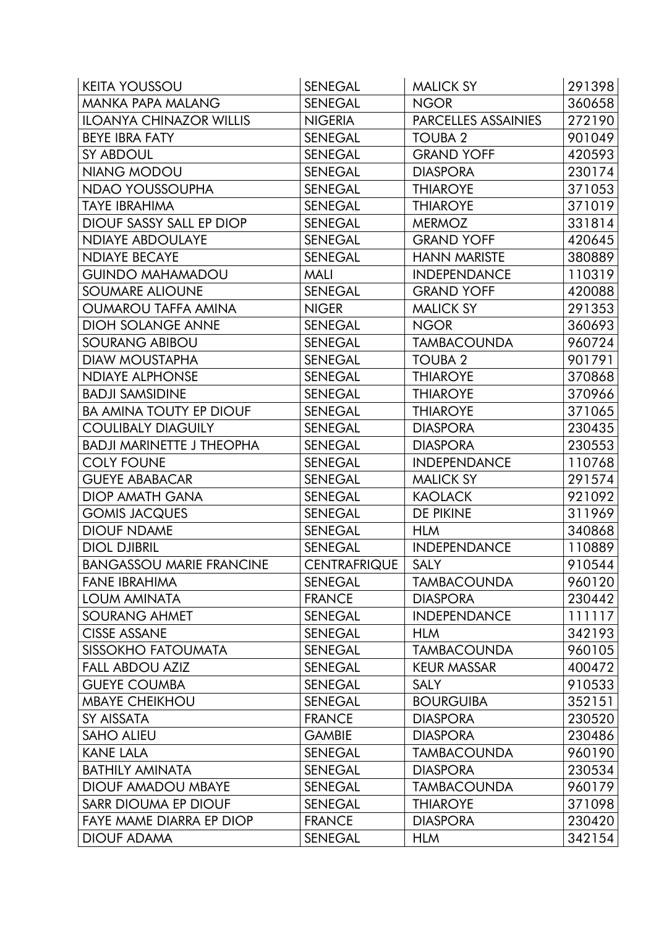| <b>KEITA YOUSSOU</b>             | <b>SENEGAL</b>      | <b>MALICK SY</b>    | 291398 |
|----------------------------------|---------------------|---------------------|--------|
| <b>MANKA PAPA MALANG</b>         | <b>SENEGAL</b>      | <b>NGOR</b>         | 360658 |
| <b>ILOANYA CHINAZOR WILLIS</b>   | <b>NIGERIA</b>      | PARCELLES ASSAINIES | 272190 |
| <b>BEYE IBRA FATY</b>            | <b>SENEGAL</b>      | <b>TOUBA 2</b>      | 901049 |
| <b>SY ABDOUL</b>                 | <b>SENEGAL</b>      | <b>GRAND YOFF</b>   | 420593 |
| NIANG MODOU                      | <b>SENEGAL</b>      | <b>DIASPORA</b>     | 230174 |
| <b>NDAO YOUSSOUPHA</b>           | <b>SENEGAL</b>      | <b>THIAROYE</b>     | 371053 |
| TAYE IBRAHIMA                    | <b>SENEGAL</b>      | <b>THIAROYE</b>     | 371019 |
| DIOUF SASSY SALL EP DIOP         | <b>SENEGAL</b>      | <b>MERMOZ</b>       | 331814 |
| <b>NDIAYE ABDOULAYE</b>          | <b>SENEGAL</b>      | <b>GRAND YOFF</b>   | 420645 |
| <b>NDIAYE BECAYE</b>             | <b>SENEGAL</b>      | <b>HANN MARISTE</b> | 380889 |
| <b>GUINDO MAHAMADOU</b>          | <b>MALI</b>         | <b>INDEPENDANCE</b> | 110319 |
| <b>SOUMARE ALIOUNE</b>           | <b>SENEGAL</b>      | <b>GRAND YOFF</b>   | 420088 |
| <b>OUMAROU TAFFA AMINA</b>       | <b>NIGER</b>        | <b>MALICK SY</b>    | 291353 |
| <b>DIOH SOLANGE ANNE</b>         | <b>SENEGAL</b>      | <b>NGOR</b>         | 360693 |
| SOURANG ABIBOU                   | <b>SENEGAL</b>      | <b>TAMBACOUNDA</b>  | 960724 |
| <b>DIAW MOUSTAPHA</b>            | <b>SENEGAL</b>      | <b>TOUBA 2</b>      | 901791 |
| <b>NDIAYE ALPHONSE</b>           | <b>SENEGAL</b>      | <b>THIAROYE</b>     | 370868 |
| <b>BADJI SAMSIDINE</b>           | <b>SENEGAL</b>      | <b>THIAROYE</b>     | 370966 |
| <b>BA AMINA TOUTY EP DIOUF</b>   | <b>SENEGAL</b>      | <b>THIAROYE</b>     | 371065 |
| <b>COULIBALY DIAGUILY</b>        | <b>SENEGAL</b>      | <b>DIASPORA</b>     | 230435 |
| <b>BADJI MARINETTE J THEOPHA</b> | <b>SENEGAL</b>      | <b>DIASPORA</b>     | 230553 |
| <b>COLY FOUNE</b>                | <b>SENEGAL</b>      | <b>INDEPENDANCE</b> | 110768 |
| <b>GUEYE ABABACAR</b>            | <b>SENEGAL</b>      | <b>MALICK SY</b>    | 291574 |
| DIOP AMATH GANA                  | <b>SENEGAL</b>      | <b>KAOLACK</b>      | 921092 |
| <b>GOMIS JACQUES</b>             | <b>SENEGAL</b>      | <b>DE PIKINE</b>    | 311969 |
| <b>DIOUF NDAME</b>               | <b>SENEGAL</b>      | <b>HLM</b>          | 340868 |
| <b>DIOL DJIBRIL</b>              | <b>SENEGAL</b>      | <b>INDEPENDANCE</b> | 110889 |
| <b>BANGASSOU MARIE FRANCINE</b>  | <b>CENTRAFRIQUE</b> | <b>SALY</b>         | 910544 |
| <b>FANE IBRAHIMA</b>             | <b>SENEGAL</b>      | <b>TAMBACOUNDA</b>  | 960120 |
| <b>LOUM AMINATA</b>              | <b>FRANCE</b>       | <b>DIASPORA</b>     | 230442 |
| <b>SOURANG AHMET</b>             | <b>SENEGAL</b>      | <b>INDEPENDANCE</b> | 111117 |
| <b>CISSE ASSANE</b>              | <b>SENEGAL</b>      | <b>HLM</b>          | 342193 |
| SISSOKHO FATOUMATA               | <b>SENEGAL</b>      | <b>TAMBACOUNDA</b>  | 960105 |
| <b>FALL ABDOU AZIZ</b>           | <b>SENEGAL</b>      | <b>KEUR MASSAR</b>  | 400472 |
| <b>GUEYE COUMBA</b>              | <b>SENEGAL</b>      | <b>SALY</b>         | 910533 |
| <b>MBAYE CHEIKHOU</b>            | <b>SENEGAL</b>      | <b>BOURGUIBA</b>    | 352151 |
| SY AISSATA                       | <b>FRANCE</b>       | <b>DIASPORA</b>     | 230520 |
| <b>SAHO ALIEU</b>                | <b>GAMBIE</b>       | <b>DIASPORA</b>     | 230486 |
| KANE LALA                        | SENEGAL             | <b>TAMBACOUNDA</b>  | 960190 |
| <b>BATHILY AMINATA</b>           | <b>SENEGAL</b>      | <b>DIASPORA</b>     | 230534 |
| DIOUF AMADOU MBAYE               | <b>SENEGAL</b>      | <b>TAMBACOUNDA</b>  | 960179 |
| <b>SARR DIOUMA EP DIOUF</b>      | <b>SENEGAL</b>      | <b>THIAROYE</b>     | 371098 |
| FAYE MAME DIARRA EP DIOP         | <b>FRANCE</b>       | <b>DIASPORA</b>     | 230420 |
| <b>DIOUF ADAMA</b>               | <b>SENEGAL</b>      | <b>HLM</b>          | 342154 |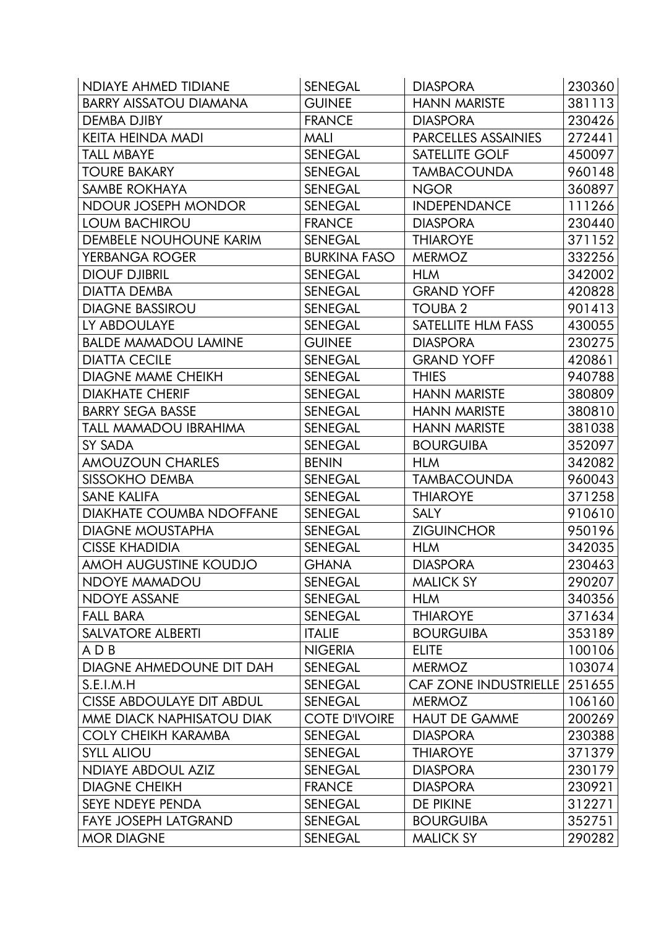| <b>NDIAYE AHMED TIDIANE</b>      | <b>SENEGAL</b>       | <b>DIASPORA</b>              | 230360 |
|----------------------------------|----------------------|------------------------------|--------|
| <b>BARRY AISSATOU DIAMANA</b>    | <b>GUINEE</b>        | <b>HANN MARISTE</b>          | 381113 |
| DEMBA DJIBY                      | <b>FRANCE</b>        | <b>DIASPORA</b>              | 230426 |
| KEITA HEINDA MADI                | <b>MALI</b>          | PARCELLES ASSAINIES          | 272441 |
| <b>TALL MBAYE</b>                | <b>SENEGAL</b>       | SATELLITE GOLF               | 450097 |
| <b>TOURE BAKARY</b>              | <b>SENEGAL</b>       | <b>TAMBACOUNDA</b>           | 960148 |
| SAMBE ROKHAYA                    | <b>SENEGAL</b>       | <b>NGOR</b>                  | 360897 |
| NDOUR JOSEPH MONDOR              | <b>SENEGAL</b>       | <b>INDEPENDANCE</b>          | 111266 |
| <b>LOUM BACHIROU</b>             | <b>FRANCE</b>        | <b>DIASPORA</b>              | 230440 |
| <b>DEMBELE NOUHOUNE KARIM</b>    | <b>SENEGAL</b>       | <b>THIAROYE</b>              | 371152 |
| YERBANGA ROGER                   | <b>BURKINA FASO</b>  | <b>MERMOZ</b>                | 332256 |
| <b>DIOUF DJIBRIL</b>             | <b>SENEGAL</b>       | <b>HLM</b>                   | 342002 |
| DIATTA DEMBA                     | <b>SENEGAL</b>       | <b>GRAND YOFF</b>            | 420828 |
| <b>DIAGNE BASSIROU</b>           | <b>SENEGAL</b>       | <b>TOUBA 2</b>               | 901413 |
| LY ABDOULAYE                     | <b>SENEGAL</b>       | SATELLITE HLM FASS           | 430055 |
| <b>BALDE MAMADOU LAMINE</b>      | <b>GUINEE</b>        | <b>DIASPORA</b>              | 230275 |
| <b>DIATTA CECILE</b>             | <b>SENEGAL</b>       | <b>GRAND YOFF</b>            | 420861 |
| <b>DIAGNE MAME CHEIKH</b>        | <b>SENEGAL</b>       | <b>THIES</b>                 | 940788 |
| <b>DIAKHATE CHERIF</b>           | <b>SENEGAL</b>       | <b>HANN MARISTE</b>          | 380809 |
| <b>BARRY SEGA BASSE</b>          | <b>SENEGAL</b>       | <b>HANN MARISTE</b>          | 380810 |
| TALL MAMADOU IBRAHIMA            | <b>SENEGAL</b>       | <b>HANN MARISTE</b>          | 381038 |
| SY SADA                          | <b>SENEGAL</b>       | <b>BOURGUIBA</b>             | 352097 |
| AMOUZOUN CHARLES                 | <b>BENIN</b>         | <b>HLM</b>                   | 342082 |
| <b>SISSOKHO DEMBA</b>            | <b>SENEGAL</b>       | <b>TAMBACOUNDA</b>           | 960043 |
| <b>SANE KALIFA</b>               | <b>SENEGAL</b>       | <b>THIAROYE</b>              | 371258 |
| DIAKHATE COUMBA NDOFFANE         | <b>SENEGAL</b>       | <b>SALY</b>                  | 910610 |
| <b>DIAGNE MOUSTAPHA</b>          | <b>SENEGAL</b>       | <b>ZIGUINCHOR</b>            | 950196 |
| <b>CISSE KHADIDIA</b>            | <b>SENEGAL</b>       | <b>HLM</b>                   | 342035 |
| <b>AMOH AUGUSTINE KOUDJO</b>     | <b>GHANA</b>         | <b>DIASPORA</b>              | 230463 |
| <b>NDOYE MAMADOU</b>             | <b>SENEGAL</b>       | <b>MALICK SY</b>             | 290207 |
| <b>NDOYE ASSANE</b>              | <b>SENEGAL</b>       | <b>HLM</b>                   | 340356 |
| <b>FALL BARA</b>                 | <b>SENEGAL</b>       | <b>THIAROYE</b>              | 371634 |
| <b>SALVATORE ALBERTI</b>         | <b>ITALIE</b>        | <b>BOURGUIBA</b>             | 353189 |
| ADB                              | <b>NIGERIA</b>       | <b>ELITE</b>                 | 100106 |
| DIAGNE AHMEDOUNE DIT DAH         | <b>SENEGAL</b>       | <b>MERMOZ</b>                | 103074 |
| S.E.I.M.H                        | <b>SENEGAL</b>       | <b>CAF ZONE INDUSTRIELLE</b> | 251655 |
| <b>CISSE ABDOULAYE DIT ABDUL</b> | SENEGAL              | <b>MERMOZ</b>                | 106160 |
| MME DIACK NAPHISATOU DIAK        | <b>COTE D'IVOIRE</b> | <b>HAUT DE GAMME</b>         | 200269 |
| <b>COLY CHEIKH KARAMBA</b>       | <b>SENEGAL</b>       | <b>DIASPORA</b>              | 230388 |
| <b>SYLL ALIOU</b>                | SENEGAL              | <b>THIAROYE</b>              | 371379 |
| <b>NDIAYE ABDOUL AZIZ</b>        | <b>SENEGAL</b>       | <b>DIASPORA</b>              | 230179 |
| <b>DIAGNE CHEIKH</b>             | <b>FRANCE</b>        | <b>DIASPORA</b>              | 230921 |
| <b>SEYE NDEYE PENDA</b>          | <b>SENEGAL</b>       | DE PIKINE                    | 312271 |
| <b>FAYE JOSEPH LATGRAND</b>      | SENEGAL              | <b>BOURGUIBA</b>             | 352751 |
| <b>MOR DIAGNE</b>                | <b>SENEGAL</b>       | <b>MALICK SY</b>             | 290282 |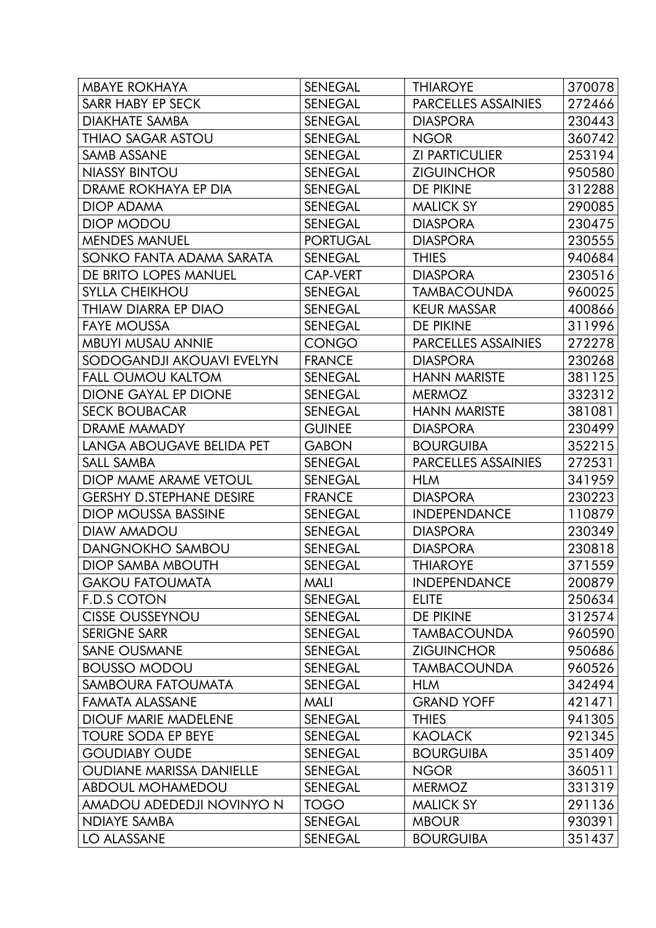| <b>MBAYE ROKHAYA</b>            | <b>SENEGAL</b>  | <b>THIAROYE</b>       | 370078 |
|---------------------------------|-----------------|-----------------------|--------|
| <b>SARR HABY EP SECK</b>        | <b>SENEGAL</b>  | PARCELLES ASSAINIES   | 272466 |
| <b>DIAKHATE SAMBA</b>           | <b>SENEGAL</b>  | <b>DIASPORA</b>       | 230443 |
| THIAO SAGAR ASTOU               | <b>SENEGAL</b>  | <b>NGOR</b>           | 360742 |
| SAMB ASSANE                     | <b>SENEGAL</b>  | <b>ZI PARTICULIER</b> | 253194 |
| NIASSY BINTOU                   | <b>SENEGAL</b>  | <b>ZIGUINCHOR</b>     | 950580 |
| DRAME ROKHAYA EP DIA            | <b>SENEGAL</b>  | DE PIKINE             | 312288 |
| <b>DIOP ADAMA</b>               | <b>SENEGAL</b>  | <b>MALICK SY</b>      | 290085 |
| <b>DIOP MODOU</b>               | <b>SENEGAL</b>  | <b>DIASPORA</b>       | 230475 |
| <b>MENDES MANUEL</b>            | <b>PORTUGAL</b> | <b>DIASPORA</b>       | 230555 |
| SONKO FANTA ADAMA SARATA        | <b>SENEGAL</b>  | <b>THIES</b>          | 940684 |
| DE BRITO LOPES MANUEL           | CAP-VERT        | <b>DIASPORA</b>       | 230516 |
| <b>SYLLA CHEIKHOU</b>           | SENEGAL         | <b>TAMBACOUNDA</b>    | 960025 |
| THIAW DIARRA EP DIAO            | <b>SENEGAL</b>  | <b>KEUR MASSAR</b>    | 400866 |
| <b>FAYE MOUSSA</b>              | <b>SENEGAL</b>  | <b>DE PIKINE</b>      | 311996 |
| <b>MBUYI MUSAU ANNIE</b>        | <b>CONGO</b>    | PARCELLES ASSAINIES   | 272278 |
| SODOGANDJI AKOUAVI EVELYN       | <b>FRANCE</b>   | <b>DIASPORA</b>       | 230268 |
| <b>FALL OUMOU KALTOM</b>        | SENEGAL         | <b>HANN MARISTE</b>   | 381125 |
| <b>DIONE GAYAL EP DIONE</b>     | <b>SENEGAL</b>  | <b>MERMOZ</b>         | 332312 |
| <b>SECK BOUBACAR</b>            | <b>SENEGAL</b>  | <b>HANN MARISTE</b>   | 381081 |
| DRAME MAMADY                    | <b>GUINEE</b>   | <b>DIASPORA</b>       | 230499 |
| LANGA ABOUGAVE BELIDA PET       | <b>GABON</b>    | <b>BOURGUIBA</b>      | 352215 |
| SALL SAMBA                      | <b>SENEGAL</b>  | PARCELLES ASSAINIES   | 272531 |
| DIOP MAME ARAME VETOUL          | <b>SENEGAL</b>  | <b>HLM</b>            | 341959 |
| <b>GERSHY D.STEPHANE DESIRE</b> | <b>FRANCE</b>   | <b>DIASPORA</b>       | 230223 |
| <b>DIOP MOUSSA BASSINE</b>      | <b>SENEGAL</b>  | <b>INDEPENDANCE</b>   | 110879 |
| <b>DIAW AMADOU</b>              | <b>SENEGAL</b>  | <b>DIASPORA</b>       | 230349 |
| <b>DANGNOKHO SAMBOU</b>         | <b>SENEGAL</b>  | <b>DIASPORA</b>       | 230818 |
| <b>DIOP SAMBA MBOUTH</b>        | <b>SENEGAL</b>  | <b>THIAROYE</b>       | 371559 |
| <b>GAKOU FATOUMATA</b>          | <b>MALI</b>     | <b>INDEPENDANCE</b>   | 200879 |
| <b>F.D.S COTON</b>              | <b>SENEGAL</b>  | <b>ELITE</b>          | 250634 |
| <b>CISSE OUSSEYNOU</b>          | <b>SENEGAL</b>  | <b>DE PIKINE</b>      | 312574 |
| <b>SERIGNE SARR</b>             | <b>SENEGAL</b>  | <b>TAMBACOUNDA</b>    | 960590 |
| <b>SANE OUSMANE</b>             | <b>SENEGAL</b>  | <b>ZIGUINCHOR</b>     | 950686 |
| <b>BOUSSO MODOU</b>             | <b>SENEGAL</b>  | <b>TAMBACOUNDA</b>    | 960526 |
| SAMBOURA FATOUMATA              | <b>SENEGAL</b>  | <b>HLM</b>            | 342494 |
| <b>FAMATA ALASSANE</b>          | <b>MALI</b>     | <b>GRAND YOFF</b>     | 421471 |
| <b>DIOUF MARIE MADELENE</b>     | <b>SENEGAL</b>  | <b>THIES</b>          | 941305 |
| <b>TOURE SODA EP BEYE</b>       | <b>SENEGAL</b>  | <b>KAOLACK</b>        | 921345 |
| <b>GOUDIABY OUDE</b>            | <b>SENEGAL</b>  | <b>BOURGUIBA</b>      | 351409 |
| <b>OUDIANE MARISSA DANIELLE</b> | <b>SENEGAL</b>  | <b>NGOR</b>           | 360511 |
| ABDOUL MOHAMEDOU                | <b>SENEGAL</b>  | <b>MERMOZ</b>         | 331319 |
| AMADOU ADEDEDJI NOVINYO N       | <b>TOGO</b>     | <b>MALICK SY</b>      | 291136 |
| <b>NDIAYE SAMBA</b>             | <b>SENEGAL</b>  | <b>MBOUR</b>          | 930391 |
| <b>LO ALASSANE</b>              | <b>SENEGAL</b>  | <b>BOURGUIBA</b>      | 351437 |